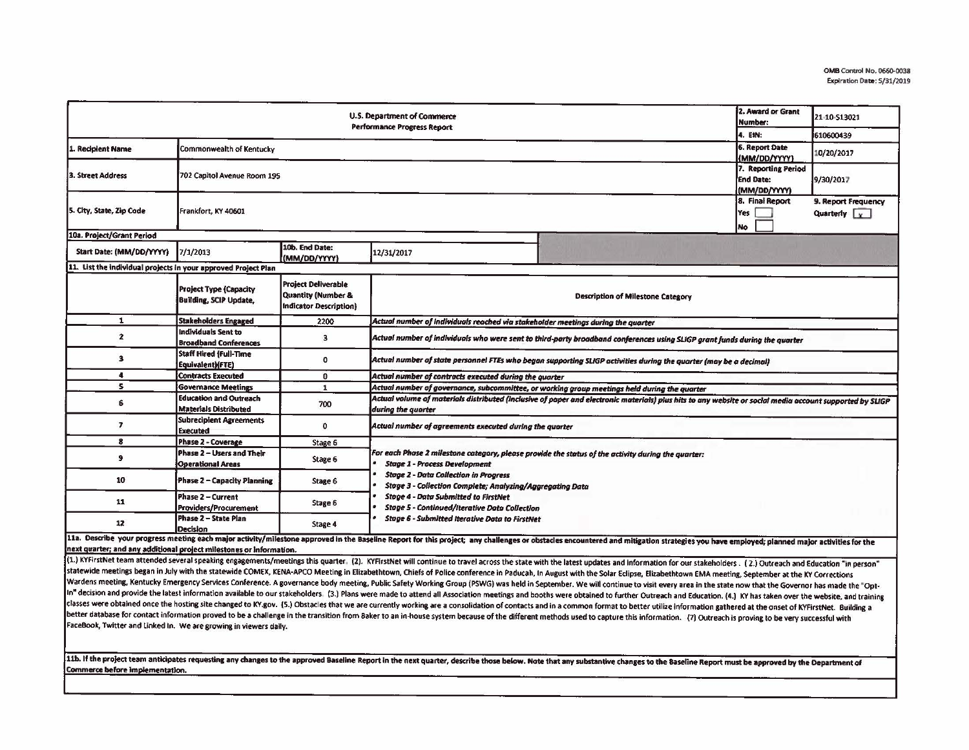| <b>U.S. Department of Commerce</b><br><b>Performance Progress Report</b> |                                                                |                                                                                              |                                                                                                                                                                                                                                                         |                                     | 2. Award or Grant<br>Number:                            | 21-10-S13021 |  |  |  |
|--------------------------------------------------------------------------|----------------------------------------------------------------|----------------------------------------------------------------------------------------------|---------------------------------------------------------------------------------------------------------------------------------------------------------------------------------------------------------------------------------------------------------|-------------------------------------|---------------------------------------------------------|--------------|--|--|--|
|                                                                          |                                                                |                                                                                              |                                                                                                                                                                                                                                                         |                                     |                                                         | 610600439    |  |  |  |
| 1. Recipient Name                                                        | Commonwealth of Kentucky                                       |                                                                                              |                                                                                                                                                                                                                                                         |                                     |                                                         | 10/20/2017   |  |  |  |
| 3. Street Address                                                        | 702 Capitol Avenue Room 195                                    |                                                                                              |                                                                                                                                                                                                                                                         |                                     | 7. Reporting Period<br><b>End Date:</b><br>(MM/DD/YYYY) | 9/30/2017    |  |  |  |
| 5. City, State, Zip Code                                                 | Frankfort, KY 40601                                            |                                                                                              |                                                                                                                                                                                                                                                         | 8. Final Report<br>Yes<br><b>No</b> | 9. Report Frequency<br>Quarterly $\sqrt{v}$             |              |  |  |  |
| 10a. Project/Grant Period                                                |                                                                |                                                                                              |                                                                                                                                                                                                                                                         |                                     |                                                         |              |  |  |  |
| Start Date: (MM/DD/YYYY)                                                 | 7/1/2013                                                       | 10b. End Date:<br>(MM/DD/YYYY)                                                               | 12/31/2017                                                                                                                                                                                                                                              |                                     |                                                         |              |  |  |  |
| 11. List the individual projects in your approved Project Plan           |                                                                |                                                                                              |                                                                                                                                                                                                                                                         |                                     |                                                         |              |  |  |  |
|                                                                          | <b>Project Type (Capacity</b><br><b>Building, SCIP Update,</b> | <b>Project Deliverable</b><br><b>Quantity (Number &amp;</b><br><b>Indicator Description)</b> | <b>Description of Milestone Category</b>                                                                                                                                                                                                                |                                     |                                                         |              |  |  |  |
| $\mathbf{1}$                                                             | <b>Stakeholders Engaged</b>                                    | 2200                                                                                         | Actual number of individuals reached via stakeholder meetings during the quarter                                                                                                                                                                        |                                     |                                                         |              |  |  |  |
| $\mathbf{z}$                                                             | Individuals Sent to<br><b>Broadband Conferences</b>            | 3                                                                                            | Actual number of individuals who were sent to third-party broadband conferences using SLIGP grant funds during the quarter                                                                                                                              |                                     |                                                         |              |  |  |  |
| 3                                                                        | <b>Staff Hired (Full-Time</b><br>Equivalent)(FTE)              | $\mathbf o$                                                                                  | Actual number of state personnel FTEs who began supporting SLIGP activities during the quarter (may be a decimal)                                                                                                                                       |                                     |                                                         |              |  |  |  |
| A                                                                        | <b>Contracts Executed</b>                                      | $\bf{0}$                                                                                     | Actual number of contracts executed during the quarter                                                                                                                                                                                                  |                                     |                                                         |              |  |  |  |
| $\overline{\mathbf{s}}$                                                  | <b>Governance Meetings</b>                                     | $\mathbf{1}$                                                                                 | Actual number of governance, subcommittee, or working group meetings held during the quarter                                                                                                                                                            |                                     |                                                         |              |  |  |  |
| 6                                                                        | <b>Education and Outreach</b><br><b>Materials Distributed</b>  | 700                                                                                          | Actual volume of materials distributed (inclusive of paper and electronic materials) plus hits to any website or social media account supported by SLIGP<br>during the quarter                                                                          |                                     |                                                         |              |  |  |  |
| $\overline{\mathbf{z}}$                                                  | <b>Subrecipient Agreements</b><br><b>Executed</b>              | $\circ$                                                                                      | Actual number of agreements executed during the quarter                                                                                                                                                                                                 |                                     |                                                         |              |  |  |  |
| 8                                                                        | <b>Phase 2 - Coverage</b>                                      | Stage 6                                                                                      |                                                                                                                                                                                                                                                         |                                     |                                                         |              |  |  |  |
| 9                                                                        | Phase 2 - Users and Their<br><b>Operational Areas</b>          | Stage 6                                                                                      | For each Phase 2 milestone category, please provide the status of the activity during the quarter:<br><b>Stage 1 - Process Development</b><br><b>Stage 2 - Data Collection in Progress</b><br>Stage 3 - Collection Complete; Analyzing/Aggregating Data |                                     |                                                         |              |  |  |  |
| 10                                                                       | Phase 2 - Capacity Planning                                    | Stage 6                                                                                      |                                                                                                                                                                                                                                                         |                                     |                                                         |              |  |  |  |
| 11                                                                       | Phase 2 - Current<br><b>Providers/Procurement</b>              | Stage 6                                                                                      | <b>Stage 4 - Data Submitted to FirstNet</b><br><b>Stage 5 - Continued/Iterative Data Collection</b><br><b>Stage 6 - Submitted Iterative Data to FirstNet</b>                                                                                            |                                     |                                                         |              |  |  |  |
| 12                                                                       | Phase 2 - State Plan<br>Decision                               | Stage 4                                                                                      |                                                                                                                                                                                                                                                         |                                     |                                                         |              |  |  |  |

11a. Describe your progress meeting each major activity/milestone approved in the Baseline Report for this project; any challenges or obstacles encountered and mitigation strategies you have employed; planned major activit next quarter; and any additional project milestones or information.

(1.) KYFirstNet team attended several speaking engagements/meetings this quarter. (2). KYFirstNet will continue to travel across the state with the latest updates and information for our stakeholders. (2.) Outreach and Edu statewide meetings began in July with the statewide COMEX, KENA-APCO Meeting in Elizabethtown, Chiefs of Police conference in Paducah, In August with the Solar Eclipse, Elizabethtown EMA meeting, September at the KY Correc Wardens meeting, Kentucky Emergency Services Conference. A governance body meeting, Public Safety Working Group (PSWG) was held in September. We will continue to visit every area in the state now that the Governor has made In" decision and provide the latest information available to our stakeholders. (3.) Plans were made to attend all Association meetings and booths were obtained to further Outreach and Education. (4.) KY has taken over the classes were obtained once the hosting site changed to KY.gov. (5.) Obstacles that we are currently working are a consolidation of contacts and in a common format to better utilize information gathered at the onset of KYFi better database for contact information proved to be a challenge in the transition from Baker to an in-house system because of the different methods used to capture this information. (7) Outreach is proving to be very succ FaceBook, Twitter and Linked In. We are growing in viewers daily.

11b. If the project team anticipates requesting any changes to the approved Baseline Report in the next quarter, describe those below. Note that any substantive changes to the Baseline Report must be approved by the Depart Commerce before implementation.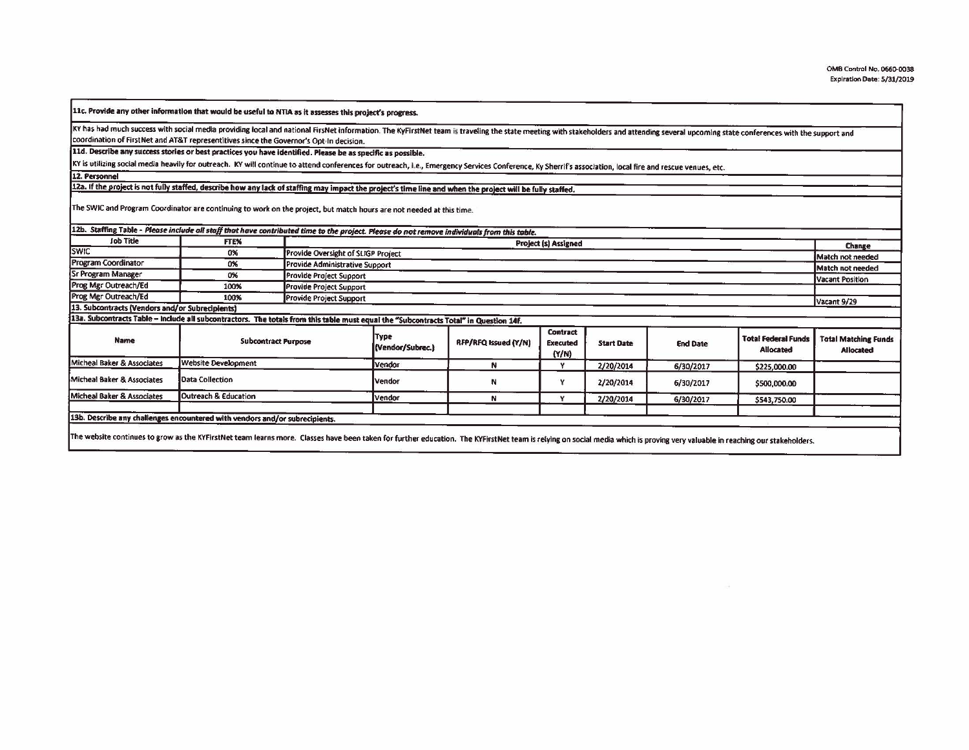11c. Provide any other information that would be useful to NTIA as it assesses this project's progress.

KY has had much success with social media providing local and national FirsNet information. The KyFirstNet team is traveling the state meeting with stakeholders and attending several upcoming state conferences with the sup coordination of FirstNet and AT&T representitives since the Governor's Opt-In decision.

11d. Describe any success stories or best practices you have identified. Please be as specific as possible.

KY is utilizing social media heavily for outreach. KY will continue to attend conferences for outreach, i.e., Emergency Services Conference, Ky Sherrif's association, local fire and rescue venues, etc.

12. Personnel

12a. If the project is not fully staffed, describe how any lack of staffing may impact the project's time line and when the project will be fully staffed.

The SWIC and Program Coordinator are continuing to work on the project, but match hours are not needed at this time.

| <b>Job Title</b>                                                            | FTE%                       |                                                                                                                                                                                                                              | 12b. Staffing Table - Please include all staff that have contributed time to the project. Please do not remove individuals from this table.<br><b>Project (s) Assigned</b> |                      |                                      |                   |                 |                                                |                                          |  |
|-----------------------------------------------------------------------------|----------------------------|------------------------------------------------------------------------------------------------------------------------------------------------------------------------------------------------------------------------------|----------------------------------------------------------------------------------------------------------------------------------------------------------------------------|----------------------|--------------------------------------|-------------------|-----------------|------------------------------------------------|------------------------------------------|--|
| <b>SWIC</b>                                                                 | 0%                         |                                                                                                                                                                                                                              |                                                                                                                                                                            |                      |                                      |                   |                 |                                                | Change<br>Match not needed               |  |
|                                                                             |                            |                                                                                                                                                                                                                              | Provide Oversight of SLIGP Project                                                                                                                                         |                      |                                      |                   |                 |                                                |                                          |  |
| Program Coordinator                                                         | 0%                         |                                                                                                                                                                                                                              | Provide Administrative Support                                                                                                                                             |                      |                                      |                   |                 |                                                |                                          |  |
| Sr Program Manager                                                          | 0%                         | <b>Provide Project Support</b>                                                                                                                                                                                               |                                                                                                                                                                            |                      |                                      |                   |                 |                                                |                                          |  |
| Prog Mgr Outreach/Ed                                                        | 100%                       | Provide Project Support                                                                                                                                                                                                      | Vacant Position                                                                                                                                                            |                      |                                      |                   |                 |                                                |                                          |  |
| Prog Mgr Outreach/Ed                                                        | 100%                       | Provide Project Support                                                                                                                                                                                                      |                                                                                                                                                                            |                      |                                      |                   |                 |                                                |                                          |  |
| 13. Subcontracts (Vendors and/or Subrecipients)                             |                            |                                                                                                                                                                                                                              |                                                                                                                                                                            |                      |                                      |                   |                 |                                                | Vacant 9/29                              |  |
|                                                                             |                            | 133a. Subcontracts Table – include all subcontractors. The totals from this table must equal the "Subcontracts Total" in Question 14f.                                                                                       |                                                                                                                                                                            |                      |                                      |                   |                 |                                                |                                          |  |
| Name                                                                        | <b>Subcontract Purpose</b> |                                                                                                                                                                                                                              | Type<br>(Vendor/Subrec.)                                                                                                                                                   | RFP/RFQ Issued (Y/N) | Contract<br><b>Executed</b><br>(N/N) | <b>Start Date</b> | <b>End Date</b> | <b>Total Federal Funds</b><br><b>Allocated</b> | <b>Total Matching Funds</b><br>Allocated |  |
| Micheal Baker & Associates                                                  | <b>Website Development</b> |                                                                                                                                                                                                                              | Vendor                                                                                                                                                                     | N                    | ٧                                    | 2/20/2014         | 6/30/2017       | \$225,000.00                                   |                                          |  |
| Micheal Baker & Associates                                                  | Data Collection            |                                                                                                                                                                                                                              | Vendor                                                                                                                                                                     | N                    |                                      | 2/20/2014         | 6/30/2017       | \$500,000.00                                   |                                          |  |
| Micheal Baker & Associates                                                  | Outreach & Education       |                                                                                                                                                                                                                              | Vendor                                                                                                                                                                     | N                    |                                      | 2/20/2014         | 6/30/2017       | \$543,750.00                                   |                                          |  |
| 13b. Describe any challenges encountered with vendors and/or subrecipients. |                            |                                                                                                                                                                                                                              |                                                                                                                                                                            |                      |                                      |                   |                 |                                                |                                          |  |
|                                                                             |                            | The website continues to grow as the KYFirstNet team learns more. Classes have been taken for further education. The KYFirstNet team is relying on social media which is proving very valuable in reaching our stakeholders. |                                                                                                                                                                            |                      |                                      |                   |                 |                                                |                                          |  |